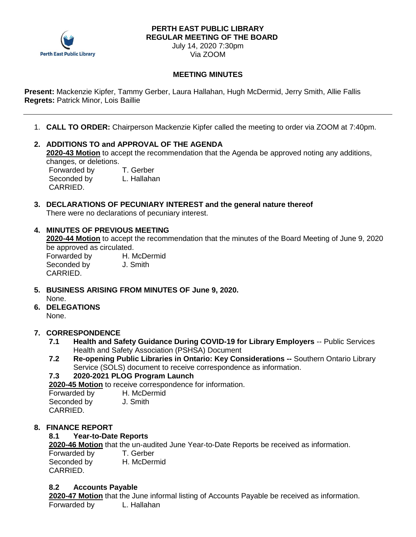

#### **PERTH EAST PUBLIC LIBRARY REGULAR MEETING OF THE BOARD**

July 14, 2020 7:30pm Via ZOOM

### **MEETING MINUTES**

**Present:** Mackenzie Kipfer, Tammy Gerber, Laura Hallahan, Hugh McDermid, Jerry Smith, Allie Fallis **Regrets:** Patrick Minor, Lois Baillie

1. **CALL TO ORDER:** Chairperson Mackenzie Kipfer called the meeting to order via ZOOM at 7:40pm.

#### **2. ADDITIONS TO and APPROVAL OF THE AGENDA 2020-43 Motion** to accept the recommendation that the Agenda be approved noting any additions,

changes, or deletions.

Forwarded by T. Gerber Seconded by L. Hallahan CARRIED.

#### **3. DECLARATIONS OF PECUNIARY INTEREST and the general nature thereof** There were no declarations of pecuniary interest.

### **4. MINUTES OF PREVIOUS MEETING**

**2020-44 Motion** to accept the recommendation that the minutes of the Board Meeting of June 9, 2020 be approved as circulated.

Seconded by **J. Smith** CARRIED.

- Forwarded by H. McDermid
- **5. BUSINESS ARISING FROM MINUTES OF June 9, 2020.** None.
- **6. DELEGATIONS** None.

### **7. CORRESPONDENCE**

- **7.1 Health and Safety Guidance During COVID-19 for Library Employers** -- Public Services Health and Safety Association (PSHSA) Document
- **7.2 Re-opening Public Libraries in Ontario: Key Considerations --** Southern Ontario Library Service (SOLS) document to receive correspondence as information.

# **7.3 2020-2021 PLOG Program Launch**

**2020-45 Motion** to receive correspondence for information.

| Forwarded by | H. McDermid |
|--------------|-------------|
| Seconded by  | J. Smith    |
| CARRIED.     |             |

# **8. FINANCE REPORT**

# **8.1 Year-to-Date Reports**

**2020-46 Motion** that the un-audited June Year-to-Date Reports be received as information.

| Forwarded by | T. Gerber   |
|--------------|-------------|
| Seconded by  | H. McDermid |
| CARRIED.     |             |

### **8.2 Accounts Payable**

**2020-47 Motion** that the June informal listing of Accounts Payable be received as information. Forwarded by L. Hallahan